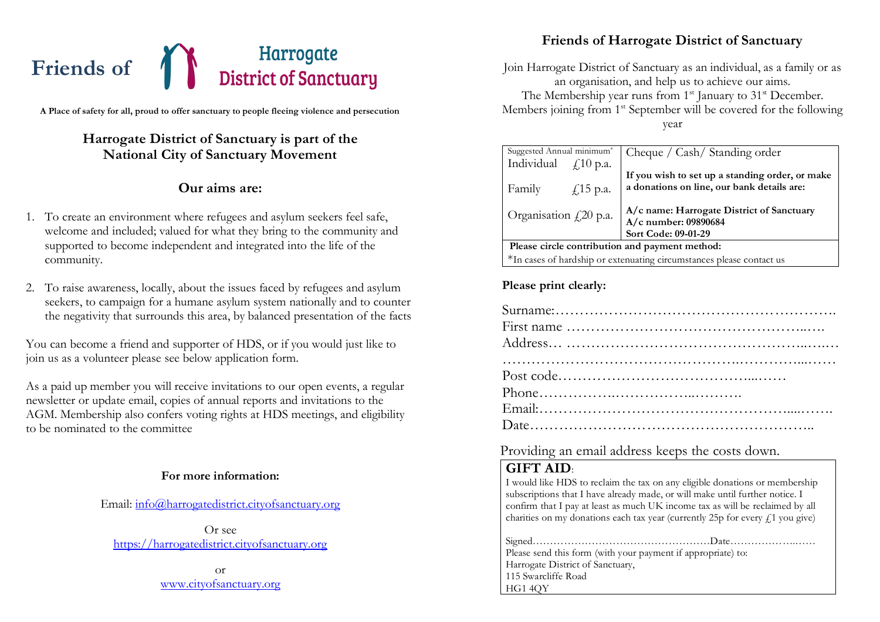# Harrogate<br>District of Sanctuary **Friends of**

**A Place of safety for all, proud to offer sanctuary to people fleeing violence and persecution**

# **Harrogate District of Sanctuary is part of the National City of Sanctuary Movement**

## **Our aims are:**

- 1. To create an environment where refugees and asylum seekers feel safe, welcome and included; valued for what they bring to the community and supported to become independent and integrated into the life of the community.
- 2. To raise awareness, locally, about the issues faced by refugees and asylum seekers, to campaign for a humane asylum system nationally and to counter the negativity that surrounds this area, by balanced presentation of the facts

You can become a friend and supporter of HDS, or if you would just like to join us as a volunteer please see below application form.

As a paid up member you will receive invitations to our open events, a regular newsletter or update email, copies of annual reports and invitations to the AGM. Membership also confers voting rights at HDS meetings, and eligibility to be nominated to the committee

#### **For more information:**

Email: [info@harrogatedistrict.cityofsanctuary.org](mailto:info@harrogatedistrict.cityofsanctuary.org)

Or see [https://harrogatedistrict.cityofsanctuary.org](https://harrogatedistrict.cityofsanctuary.org/)

> or [www.cityofsanctuary.org](http://www.cityofsanctuary.org/)

# **Friends of Harrogate District of Sanctuary**

Join Harrogate District of Sanctuary as an individual, as a family or as an organisation, and help us to achieve our aims. The Membership year runs from  $1<sup>st</sup>$  January to  $31<sup>st</sup>$  December. Members joining from 1<sup>st</sup> September will be covered for the following year

| Suggested Annual minimum*                                            | Cheque / Cash/ Standing order                   |  |
|----------------------------------------------------------------------|-------------------------------------------------|--|
| Individual $f(10 \text{ p.a.})$                                      |                                                 |  |
|                                                                      |                                                 |  |
|                                                                      | If you wish to set up a standing order, or make |  |
| Family<br>$\sqrt{15}$ p.a.                                           | a donations on line, our bank details are:      |  |
|                                                                      |                                                 |  |
|                                                                      |                                                 |  |
| Organisation $f(20)$ p.a.                                            | A/c name: Harrogate District of Sanctuary       |  |
|                                                                      | A/c number: 09890684                            |  |
|                                                                      | Sort Code: 09-01-29                             |  |
| Please circle contribution and payment method:                       |                                                 |  |
| *In cases of hardship or extenuating circumstances please contact us |                                                 |  |

#### **Please print clearly:**

Providing an email address keeps the costs down.

## **GIFT AID**:

I would like HDS to reclaim the tax on any eligible donations or membership subscriptions that I have already made, or will make until further notice. I confirm that I pay at least as much UK income tax as will be reclaimed by all charities on my donations each tax year (currently 25p for every  $f<sub>1</sub>$  you give)

| Please send this form (with your payment if appropriate) to: |  |
|--------------------------------------------------------------|--|
| Harrogate District of Sanctuary,                             |  |
| 115 Swarcliffe Road                                          |  |
| HG1 4QY                                                      |  |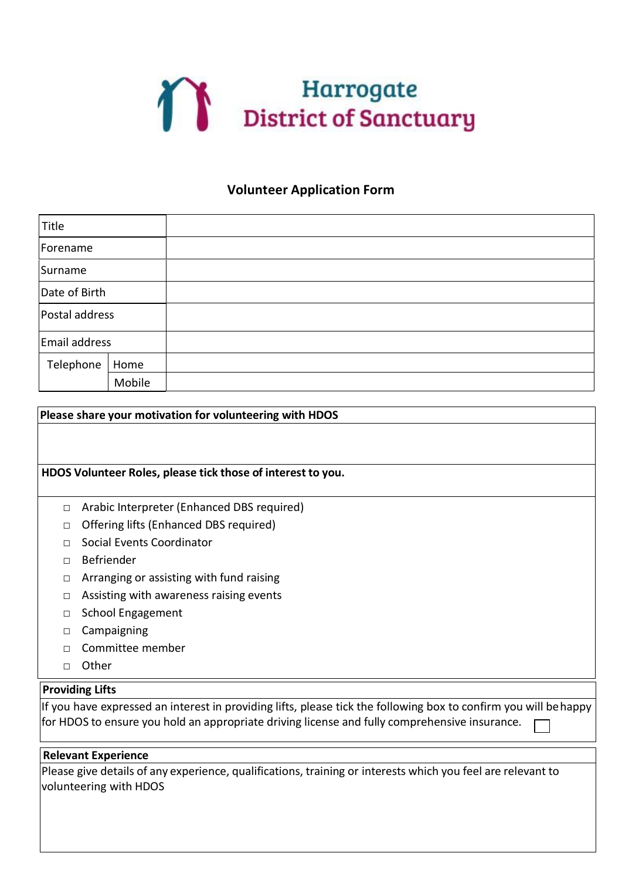

## **Volunteer Application Form**

| Title          |        |  |
|----------------|--------|--|
| Forename       |        |  |
| Surname        |        |  |
| Date of Birth  |        |  |
| Postal address |        |  |
| Email address  |        |  |
| Telephone      | Home   |  |
|                | Mobile |  |

| Please share your motivation for volunteering with HDOS |                                                                                                                                                                                                                  |  |
|---------------------------------------------------------|------------------------------------------------------------------------------------------------------------------------------------------------------------------------------------------------------------------|--|
|                                                         |                                                                                                                                                                                                                  |  |
|                                                         |                                                                                                                                                                                                                  |  |
|                                                         | HDOS Volunteer Roles, please tick those of interest to you.                                                                                                                                                      |  |
|                                                         |                                                                                                                                                                                                                  |  |
| $\Box$                                                  | Arabic Interpreter (Enhanced DBS required)                                                                                                                                                                       |  |
| п                                                       | Offering lifts (Enhanced DBS required)                                                                                                                                                                           |  |
| П                                                       | Social Events Coordinator                                                                                                                                                                                        |  |
| п                                                       | Befriender                                                                                                                                                                                                       |  |
| □                                                       | Arranging or assisting with fund raising                                                                                                                                                                         |  |
| □                                                       | Assisting with awareness raising events                                                                                                                                                                          |  |
| п                                                       | <b>School Engagement</b>                                                                                                                                                                                         |  |
| п                                                       | Campaigning                                                                                                                                                                                                      |  |
| П                                                       | Committee member                                                                                                                                                                                                 |  |
| п                                                       | Other                                                                                                                                                                                                            |  |
|                                                         | <b>Providing Lifts</b>                                                                                                                                                                                           |  |
|                                                         | If you have expressed an interest in providing lifts, please tick the following box to confirm you will behappy<br>for HDOS to ensure you hold an appropriate driving license and fully comprehensive insurance. |  |
|                                                         |                                                                                                                                                                                                                  |  |
|                                                         | <b>Relevant Experience</b>                                                                                                                                                                                       |  |
|                                                         | Please give details of any experience, qualifications, training or interests which you feel are relevant to                                                                                                      |  |
|                                                         | volunteering with HDOS                                                                                                                                                                                           |  |
|                                                         |                                                                                                                                                                                                                  |  |
|                                                         |                                                                                                                                                                                                                  |  |